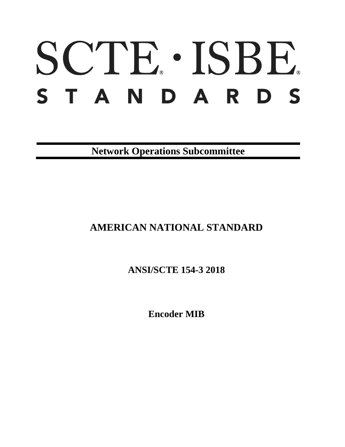# SCTE · ISBE. STANDARDS

**Network Operations Subcommittee**

**AMERICAN NATIONAL STANDARD**

**ANSI/SCTE 154-3 2018**

**Encoder MIB**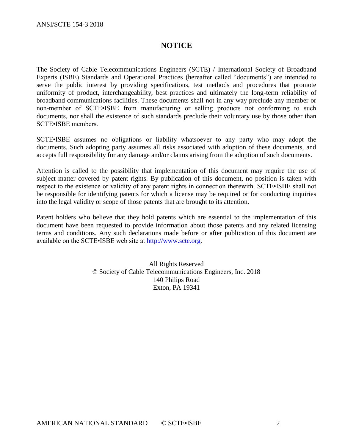# **NOTICE**

The Society of Cable Telecommunications Engineers (SCTE) / International Society of Broadband Experts (ISBE) Standards and Operational Practices (hereafter called "documents") are intended to serve the public interest by providing specifications, test methods and procedures that promote uniformity of product, interchangeability, best practices and ultimately the long-term reliability of broadband communications facilities. These documents shall not in any way preclude any member or non-member of SCTE•ISBE from manufacturing or selling products not conforming to such documents, nor shall the existence of such standards preclude their voluntary use by those other than SCTE•ISBE members.

SCTE•ISBE assumes no obligations or liability whatsoever to any party who may adopt the documents. Such adopting party assumes all risks associated with adoption of these documents, and accepts full responsibility for any damage and/or claims arising from the adoption of such documents.

Attention is called to the possibility that implementation of this document may require the use of subject matter covered by patent rights. By publication of this document, no position is taken with respect to the existence or validity of any patent rights in connection therewith. SCTE•ISBE shall not be responsible for identifying patents for which a license may be required or for conducting inquiries into the legal validity or scope of those patents that are brought to its attention.

Patent holders who believe that they hold patents which are essential to the implementation of this document have been requested to provide information about those patents and any related licensing terms and conditions. Any such declarations made before or after publication of this document are available on the SCTE•ISBE web site at [http://www.scte.org.](http://www.scte.org/)

> All Rights Reserved © Society of Cable Telecommunications Engineers, Inc. 2018 140 Philips Road Exton, PA 19341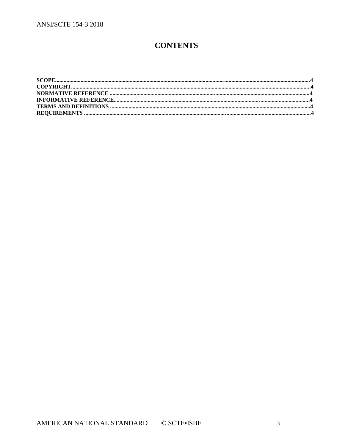# **CONTENTS**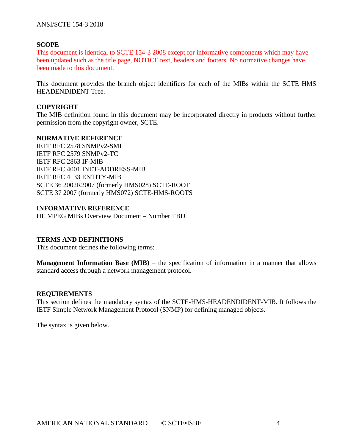# **SCOPE**

This document is identical to SCTE 154-3 2008 except for informative components which may have been updated such as the title page, NOTICE text, headers and footers. No normative changes have been made to this document.

This document provides the branch object identifiers for each of the MIBs within the SCTE HMS HEADENDIDENT Tree.

# **COPYRIGHT**

The MIB definition found in this document may be incorporated directly in products without further permission from the copyright owner, SCTE.

### **NORMATIVE REFERENCE**

IETF RFC 2578 SNMPv2-SMI IETF RFC 2579 SNMPv2-TC IETF RFC 2863 IF-MIB IETF RFC 4001 INET-ADDRESS-MIB IETF RFC 4133 ENTITY-MIB SCTE 36 2002R2007 (formerly HMS028) SCTE-ROOT SCTE 37 2007 (formerly HMS072) SCTE-HMS-ROOTS

#### **INFORMATIVE REFERENCE**

HE MPEG MIBs Overview Document – Number TBD

#### **TERMS AND DEFINITIONS**

This document defines the following terms:

**Management Information Base (MIB)** – the specification of information in a manner that allows standard access through a network management protocol.

#### **REQUIREMENTS**

This section defines the mandatory syntax of the SCTE-HMS-HEADENDIDENT-MIB. It follows the IETF Simple Network Management Protocol (SNMP) for defining managed objects.

The syntax is given below.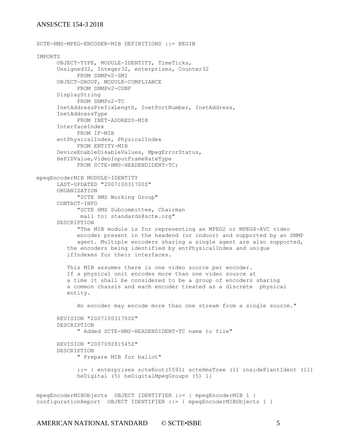```
SCTE-HMS-MPEG-ENCODER-MIB DEFINITIONS ::= BEGIN
IMPORTS
      OBJECT-TYPE, MODULE-IDENTITY, TimeTicks, 
      Unsigned32, Integer32, enterprises, Counter32
            FROM SNMPv2-SMI
      OBJECT-GROUP, MODULE-COMPLIANCE
           FROM SNMPv2-CONF
      DisplayString
            FROM SNMPv2-TC
      InetAddressPrefixLength, InetPortNumber, InetAddress, 
      InetAddressType
           FROM INET-ADDRESS-MIB
      InterfaceIndex
            FROM IF-MIB
      entPhysicalIndex, PhysicalIndex
            FROM ENTITY-MIB 
      DeviceEnableDisableValues, MpegErrorStatus, 
      HePIDValue,VideoInputFrameRateType 
            FROM SCTE-HMS-HEADENDIDENT-TC;
mpegEncoderMIB MODULE-IDENTITY
      LAST-UPDATED "200710031700Z"
      ORGANIZATION 
           "SCTE HMS Working Group"
      CONTACT-INFO 
            "SCTE HMS Subcommittee, Chairman
            mail to: standards@scte.org"
      DESCRIPTION 
            "The MIB module is for representing an MPEG2 or MPEG4-AVC video
            encoder present in the headend (or indoor) and supported by an SNMP
            agent. Multiple encoders sharing a single agent are also supported,
          the encoders being identified by entPhysicalIndex and unique
          ifIndexes for their interfaces.
          This MIB assumes there is one video source per encoder. 
          If a physical unit encodes more than one video source at 
          a time it shall be considered to be a group of encoders sharing 
          a common chassis and each encoder treated as a discrete physical
          entity.
            An encoder may encode more than one stream from a single source."
       REVISION "200710031700Z"
      DESCRIPTION 
            " Added SCTE-HMS-HEADENDIDENT-TC name to file"
       REVISION "200709281545Z"
      DESCRIPTION 
            " Prepare MIB for ballot"
            ::= { enterprises scteRoot(5591) scteHmsTree (1) insidePlantIdent (11) 
            heDigital (5) heDigitalMpegGroups (5) 1}
mpegEncoderMIBObjects OBJECT IDENTIFIER ::= { mpegEncoderMIB 1 }
configurationReport OBJECT IDENTIFIER ::= { mpegEncoderMIBObjects 1 }
```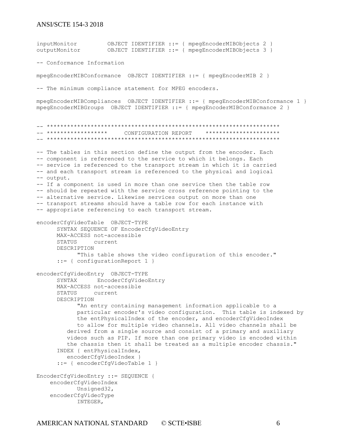inputMonitor OBJECT IDENTIFIER ::= { mpegEncoderMIBObjects 2 } outputMonitor OBJECT IDENTIFIER ::= { mpegEncoderMIBObjects 3 } -- Conformance Information mpegEncoderMIBConformance OBJECT IDENTIFIER ::= { mpegEncoderMIB 2 } -- The minimum compliance statement for MPEG encoders. mpegEncoderMIBCompliances OBJECT IDENTIFIER ::= { mpegEncoderMIBConformance 1 } mpegEncoderMIBGroups OBJECT IDENTIFIER ::= { mpegEncoderMIBConformance 2 } -- \*\*\*\*\*\*\*\*\*\*\*\*\*\*\*\*\*\*\*\*\*\*\*\*\*\*\*\*\*\*\*\*\*\*\*\*\*\*\*\*\*\*\*\*\*\*\*\*\*\*\*\*\*\*\*\*\*\*\*\*\*\*\*\*\*\*\*\*\* -- \*\*\*\*\*\*\*\*\*\*\*\*\*\*\*\*\*\* CONFIGURATION REPORT \*\*\*\*\*\*\*\*\*\*\*\*\*\*\*\*\*\*\*\*\*\* -- \*\*\*\*\*\*\*\*\*\*\*\*\*\*\*\*\*\*\*\*\*\*\*\*\*\*\*\*\*\*\*\*\*\*\*\*\*\*\*\*\*\*\*\*\*\*\*\*\*\*\*\*\*\*\*\*\*\*\*\*\*\*\*\*\*\*\*\*\* -- The tables in this section define the output from the encoder. Each -- component is referenced to the service to which it belongs. Each -- service is referenced to the transport stream in which it is carried -- and each transport stream is referenced to the physical and logical -- output. -- If a component is used in more than one service then the table row -- should be repeated with the service cross reference pointing to the -- alternative service. Likewise services output on more than one -- transport streams should have a table row for each instance with -- appropriate referencing to each transport stream. encoderCfgVideoTable OBJECT-TYPE SYNTAX SEQUENCE OF EncoderCfgVideoEntry MAX-ACCESS not-accessible STATUS current DESCRIPTION "This table shows the video configuration of this encoder." ::= { configurationReport 1 } encoderCfgVideoEntry OBJECT-TYPE SYNTAX EncoderCfgVideoEntry MAX-ACCESS not-accessible STATUS current DESCRIPTION "An entry containing management information applicable to a particular encoder's video configuration. This table is indexed by the entPhysicalIndex of the encoder, and encoderCfgVideoIndex to allow for multiple video channels. All video channels shall be derived from a single source and consist of a primary and auxiliary videos such as PIP. If more than one primary video is encoded within the chassis then it shall be treated as a multiple encoder chassis." INDEX { entPhysicalIndex, encoderCfgVideoIndex } ::= { encoderCfgVideoTable 1 } EncoderCfgVideoEntry ::= SEQUENCE { encoderCfgVideoIndex Unsigned32, encoderCfgVideoType INTEGER,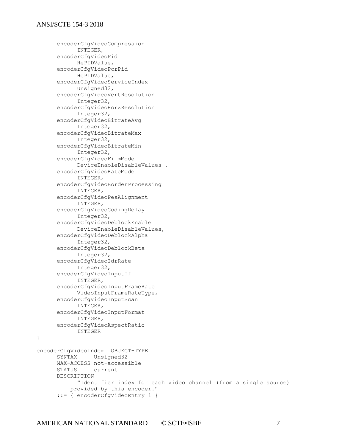}

```
encoderCfgVideoCompression
           INTEGER,
     encoderCfgVideoPid
           HePIDValue,
     encoderCfgVideoPcrPid
          HePIDValue,
     encoderCfgVideoServiceIndex
           Unsigned32,
     encoderCfgVideoVertResolution
           Integer32,
     encoderCfgVideoHorzResolution
           Integer32,
     encoderCfgVideoBitrateAvg
           Integer32,
     encoderCfgVideoBitrateMax
           Integer32,
     encoderCfgVideoBitrateMin
           Integer32,
     encoderCfgVideoFilmMode
           DeviceEnableDisableValues ,
     encoderCfgVideoRateMode
           INTEGER,
     encoderCfgVideoBorderProcessing
           INTEGER,
     encoderCfgVideoPesAlignment
           INTEGER,
     encoderCfgVideoCodingDelay
           Integer32,
     encoderCfgVideoDeblockEnable
           DeviceEnableDisableValues,
     encoderCfgVideoDeblockAlpha
           Integer32,
     encoderCfgVideoDeblockBeta
           Integer32,
     encoderCfgVideoIdrRate
           Integer32,
     encoderCfgVideoInputIf
           INTEGER,
      encoderCfgVideoInputFrameRate
           VideoInputFrameRateType,
      encoderCfgVideoInputScan
           INTEGER,
      encoderCfgVideoInputFormat
            INTEGER,
     encoderCfgVideoAspectRatio
           INTEGER
encoderCfgVideoIndex OBJECT-TYPE
     SYNTAX Unsigned32
     MAX-ACCESS not-accessible
     STATUS current
     DESCRIPTION 
           "Identifier index for each video channel (from a single source)
          provided by this encoder."
      ::= { encoderCfgVideoEntry 1 }
```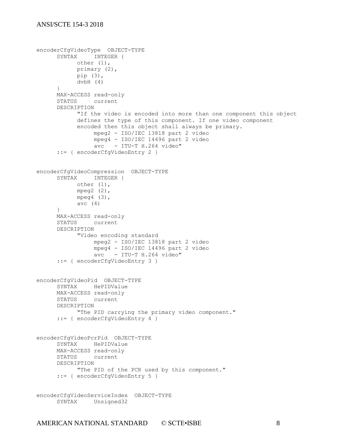```
encoderCfgVideoType OBJECT-TYPE
     SYNTAX INTEGER {
           other (1),
          primary (2),
           pip (3),
           dvbH (4)
     }
     MAX-ACCESS read-only
     STATUS current
     DESCRIPTION 
           "If the video is encoded into more than one component this object
           defines the type of this component. If one video component 
           encoded then this object shall always be primary.
                 mpeg2 - ISO/IEC 13818 part 2 video
                 mpeg4 - ISO/IEC 14496 part 2 video
                 avc - ITU-T H.264 video"
      ::= { encoderCfgVideoEntry 2 }
encoderCfgVideoCompression OBJECT-TYPE
     SYNTAX INTEGER {
          other (1),
           mpeq2 (2),
           mpeg4 (3),
           avc (4)
     }
     MAX-ACCESS read-only
     STATUS current
     DESCRIPTION 
           "Video encoding standard
                 mpeg2 - ISO/IEC 13818 part 2 video
                 mpeg4 - ISO/IEC 14496 part 2 video
                 avc - ITU-T H.264 video"
      ::= { encoderCfgVideoEntry 3 }
encoderCfgVideoPid OBJECT-TYPE
     SYNTAX HePIDValue
     MAX-ACCESS read-only
     STATUS current
     DESCRIPTION 
           "The PID carrying the primary video component."
      ::= { encoderCfgVideoEntry 4 }
encoderCfgVideoPcrPid OBJECT-TYPE
     SYNTAX HePIDValue
     MAX-ACCESS read-only
     STATUS current
     DESCRIPTION 
           "The PID of the PCR used by this component."
     ::= { encoderCfgVideoEntry 5 }
encoderCfgVideoServiceIndex OBJECT-TYPE
     SYNTAX Unsigned32
```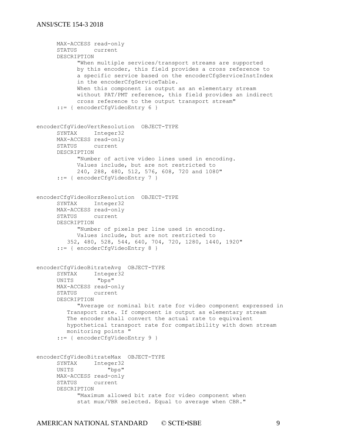```
MAX-ACCESS read-only
     STATUS current
     DESCRIPTION 
           "When multiple services/transport streams are supported
           by this encoder, this field provides a cross reference to
           a specific service based on the encoderCfgServiceInstIndex
           in the encoderCfgServiceTable. 
           When this component is output as an elementary stream
           without PAT/PMT reference, this field provides an indirect
           cross reference to the output transport stream"
     ::= { encoderCfgVideoEntry 6 }
encoderCfgVideoVertResolution OBJECT-TYPE
     SYNTAX Integer32 
     MAX-ACCESS read-only
     STATUS current
     DESCRIPTION 
           "Number of active video lines used in encoding.
           Values include, but are not restricted to
           240, 288, 480, 512, 576, 608, 720 and 1080"
     ::= { encoderCfgVideoEntry 7 }
encoderCfgVideoHorzResolution OBJECT-TYPE
     SYNTAX Integer32 
     MAX-ACCESS read-only
     STATUS current
     DESCRIPTION 
           "Number of pixels per line used in encoding.
            Values include, but are not restricted to
         352, 480, 528, 544, 640, 704, 720, 1280, 1440, 1920"
     ::= { encoderCfgVideoEntry 8 }
encoderCfgVideoBitrateAvg OBJECT-TYPE
     SYNTAX Integer32
     UNITS "bps"
     MAX-ACCESS read-only
     STATUS current
     DESCRIPTION 
           "Average or nominal bit rate for video component expressed in
         Transport rate. If component is output as elementary stream
         The encoder shall convert the actual rate to equivalent 
         hypothetical transport rate for compatibility with down stream 
         monitoring points " 
      ::= { encoderCfgVideoEntry 9 }
encoderCfgVideoBitrateMax OBJECT-TYPE
      SYNTAX Integer32
      UNITS "bps"
     MAX-ACCESS read-only
     STATUS current
     DESCRIPTION 
           "Maximum allowed bit rate for video component when
            stat mux/VBR selected. Equal to average when CBR."
```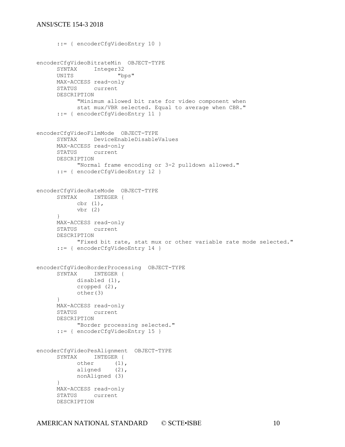```
::= { encoderCfgVideoEntry 10 }
encoderCfgVideoBitrateMin OBJECT-TYPE
     SYNTAX Integer32
     UNITS "bps"
     MAX-ACCESS read-only
     STATUS current
     DESCRIPTION 
            "Minimum allowed bit rate for video component when
           stat mux/VBR selected. Equal to average when CBR."
     ::= { encoderCfgVideoEntry 11 }
encoderCfgVideoFilmMode OBJECT-TYPE
     SYNTAX DeviceEnableDisableValues 
     MAX-ACCESS read-only
     STATUS current
     DESCRIPTION 
           "Normal frame encoding or 3-2 pulldown allowed."
     ::= { encoderCfgVideoEntry 12 }
encoderCfgVideoRateMode OBJECT-TYPE
     SYNTAX INTEGER {
          cbr (1),
          vbr (2)
     }
     MAX-ACCESS read-only
     STATUS current
     DESCRIPTION 
           "Fixed bit rate, stat mux or other variable rate mode selected."
     ::= { encoderCfgVideoEntry 14 }
encoderCfgVideoBorderProcessing OBJECT-TYPE
     SYNTAX INTEGER {
          disabled (1),
           cropped (2),
          other(3)
     }
     MAX-ACCESS read-only
     STATUS current
     DESCRIPTION 
           "Border processing selected."
     ::= { encoderCfgVideoEntry 15 }
encoderCfgVideoPesAlignment OBJECT-TYPE
     SYNTAX INTEGER {
           other (1),
           aligned (2),
          nonAligned (3)
     }
     MAX-ACCESS read-only
     STATUS current
     DESCRIPTION
```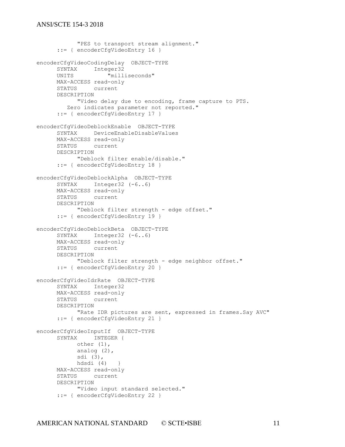```
"PES to transport stream alignment."
     ::= { encoderCfgVideoEntry 16 }
encoderCfgVideoCodingDelay OBJECT-TYPE
     SYNTAX Integer32
     UNITS "milliseconds"
     MAX-ACCESS read-only
     STATUS current
     DESCRIPTION 
          "Video delay due to encoding, frame capture to PTS.
         Zero indicates parameter not reported."
     ::= { encoderCfgVideoEntry 17 }
encoderCfgVideoDeblockEnable OBJECT-TYPE
     SYNTAX DeviceEnableDisableValues
     MAX-ACCESS read-only
     STATUS current
     DESCRIPTION 
           "Deblock filter enable/disable."
     ::= { encoderCfgVideoEntry 18 }
encoderCfgVideoDeblockAlpha OBJECT-TYPE
     SYNTAX Integer32 (-6..6)
     MAX-ACCESS read-only
     STATUS current
     DESCRIPTION 
          "Deblock filter strength - edge offset."
     ::= { encoderCfgVideoEntry 19 }
encoderCfgVideoDeblockBeta OBJECT-TYPE
     SYNTAX Integer32 (-6..6)
     MAX-ACCESS read-only
     STATUS current
     DESCRIPTION 
           "Deblock filter strength - edge neighbor offset."
     ::= { encoderCfgVideoEntry 20 }
encoderCfgVideoIdrRate OBJECT-TYPE
     SYNTAX Integer32
     MAX-ACCESS read-only
     STATUS current
     DESCRIPTION 
           "Rate IDR pictures are sent, expressed in frames.Say AVC"
     ::= { encoderCfgVideoEntry 21 }
encoderCfgVideoInputIf OBJECT-TYPE
     SYNTAX INTEGER {
           other (1),
           analog (2),
           sdi (3),
           hdsdi (4) }
     MAX-ACCESS read-only
     STATUS current
     DESCRIPTION 
           "Video input standard selected."
     ::= { encoderCfgVideoEntry 22 }
```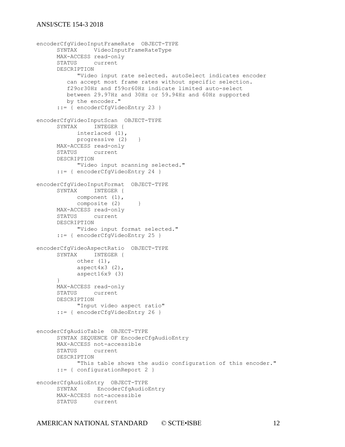```
encoderCfgVideoInputFrameRate OBJECT-TYPE
     SYNTAX VideoInputFrameRateType
     MAX-ACCESS read-only
     STATUS current
     DESCRIPTION 
           "Video input rate selected. autoSelect indicates encoder
         can accept most frame rates without specific selection. 
         f29or30Hz and f59or60Hz indicate limited auto-select 
         between 29.97Hz and 30Hz or 59.94Hz and 60Hz supported 
         by the encoder."
     ::= { encoderCfgVideoEntry 23 }
encoderCfgVideoInputScan OBJECT-TYPE
     SYNTAX INTEGER {
          interlaced (1),
          progressive (2) }
     MAX-ACCESS read-only
     STATUS current
     DESCRIPTION 
           "Video input scanning selected."
     ::= { encoderCfgVideoEntry 24 }
encoderCfgVideoInputFormat OBJECT-TYPE
     SYNTAX INTEGER {
          component (1),
          composite (2) }
     MAX-ACCESS read-only
     STATUS current
     DESCRIPTION 
           "Video input format selected."
     ::= { encoderCfgVideoEntry 25 }
encoderCfgVideoAspectRatio OBJECT-TYPE
     SYNTAX INTEGER {
           other (1),
           aspect4x3(2),
           aspect16x9 (3)
     }
     MAX-ACCESS read-only
     STATUS current
     DESCRIPTION 
           "Input video aspect ratio"
     ::= { encoderCfgVideoEntry 26 }
encoderCfgAudioTable OBJECT-TYPE
     SYNTAX SEQUENCE OF EncoderCfgAudioEntry
     MAX-ACCESS not-accessible
     STATUS current
     DESCRIPTION 
           "This table shows the audio configuration of this encoder."
     ::= { configurationReport 2 }
encoderCfgAudioEntry OBJECT-TYPE
     SYNTAX EncoderCfgAudioEntry
     MAX-ACCESS not-accessible
     STATUS current
```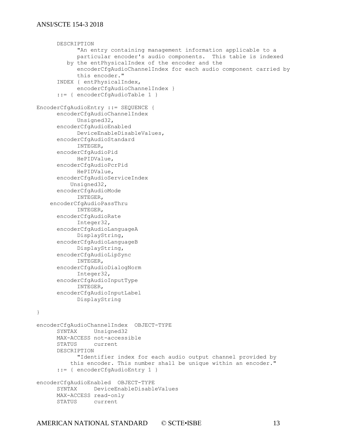```
DESCRIPTION 
            "An entry containing management information applicable to a
            particular encoder's audio components. This table is indexed 
         by the entPhysicalIndex of the encoder and the
           encoderCfgAudioChannelIndex for each audio component carried by 
           this encoder."
     INDEX { entPhysicalIndex, 
           encoderCfgAudioChannelIndex }
      ::= { encoderCfgAudioTable 1 }
EncoderCfgAudioEntry ::= SEQUENCE {
     encoderCfgAudioChannelIndex
           Unsigned32,
     encoderCfgAudioEnabled
           DeviceEnableDisableValues,
     encoderCfgAudioStandard
           INTEGER,
     encoderCfgAudioPid
           HePIDValue,
     encoderCfgAudioPcrPid
          HePIDValue,
     encoderCfgAudioServiceIndex
          Unsigned32,
     encoderCfgAudioMode
           INTEGER,
    encoderCfgAudioPassThru
           INTEGER,
     encoderCfgAudioRate
           Integer32,
     encoderCfgAudioLanguageA
           DisplayString,
     encoderCfgAudioLanguageB
           DisplayString,
     encoderCfgAudioLipSync
           INTEGER,
     encoderCfgAudioDialogNorm
           Integer32,
     encoderCfgAudioInputType
           INTEGER,
     encoderCfgAudioInputLabel
           DisplayString
}
encoderCfgAudioChannelIndex OBJECT-TYPE
     SYNTAX Unsigned32
     MAX-ACCESS not-accessible
     STATUS current
     DESCRIPTION 
           "Identifier index for each audio output channel provided by
          this encoder. This number shall be unique within an encoder."
     ::= { encoderCfgAudioEntry 1 }
encoderCfgAudioEnabled OBJECT-TYPE
     SYNTAX DeviceEnableDisableValues
     MAX-ACCESS read-only
     STATUS current
```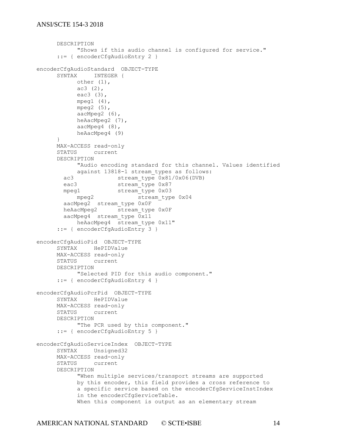```
DESCRIPTION 
           "Shows if this audio channel is configured for service."
      ::= { encoderCfgAudioEntry 2 }
encoderCfgAudioStandard OBJECT-TYPE
     SYNTAX INTEGER {
           other (1),
           ac3 (2),
           eac3 (3),
           mpeg1 (4),
           mpeg2 (5),
           aacMpeg2 (6),
           heAacMpeg2 (7),
           aacMpeg4 (8),
           heAacMpeg4 (9)
     }
     MAX-ACCESS read-only
     STATUS current
     DESCRIPTION 
           "Audio encoding standard for this channel. Values identified
           against 13818-1 stream types as follows:
        ac3 stream_type 0x81/0x06(DVB)
       eac3 stream_type 0x87<br>mpeg1 stream_type 0x03
                      stream<sup>-</sup>type 0x03
           mpeg2 stream_type 0x04
        aacMpeg2 stream_type 0x0F
       heAacMpeg2 stream type 0x0F
        aacMpeg4 stream_type 0x11
           heAacMpeg4 stream type 0x11"
      ::= { encoderCfgAudioEntry 3 }
encoderCfgAudioPid OBJECT-TYPE
     SYNTAX HePIDValue
     MAX-ACCESS read-only
     STATUS current
     DESCRIPTION 
           "Selected PID for this audio component."
     ::= { encoderCfgAudioEntry 4 }
encoderCfgAudioPcrPid OBJECT-TYPE
     SYNTAX HePIDValue 
     MAX-ACCESS read-only
     STATUS current
     DESCRIPTION 
           "The PCR used by this component."
     ::= { encoderCfgAudioEntry 5 }
encoderCfgAudioServiceIndex OBJECT-TYPE
     SYNTAX Unsigned32
     MAX-ACCESS read-only
     STATUS current
     DESCRIPTION 
           "When multiple services/transport streams are supported
           by this encoder, this field provides a cross reference to
           a specific service based on the encoderCfgServiceInstIndex
           in the encoderCfgServiceTable. 
           When this component is output as an elementary stream
```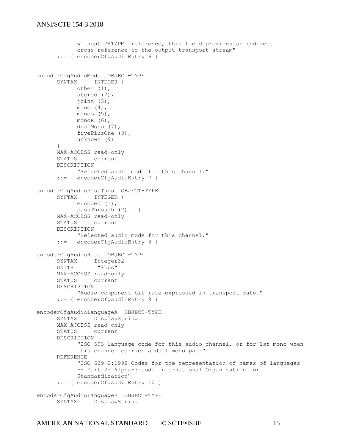```
without PAT/PMT reference, this field provides an indirect
           cross reference to the output transport stream"
      ::= { encoderCfgAudioEntry 6 }
encoderCfgAudioMode OBJECT-TYPE
     SYNTAX INTEGER {
           other (1),
           stereo (2),
           joint (3),
           mono (4),
           monoL (5),
           monoR (6),
           dualMono (7),
           fivePlusOne (8),
           unknown (9)
      }
     MAX-ACCESS read-only
     STATUS current
     DESCRIPTION 
           "Selected audio mode for this channel."
     ::= { encoderCfgAudioEntry 7 }
encoderCfgAudioPassThru OBJECT-TYPE
     SYNTAX INTEGER {
          encoded (1),
          passThrough (2) }
     MAX-ACCESS read-only
     STATUS current
     DESCRIPTION 
           "Selected audio mode for this channel."
      ::= { encoderCfgAudioEntry 8 }
encoderCfgAudioRate OBJECT-TYPE
     SYNTAX Integer32
     UNITS "kbps"
     MAX-ACCESS read-only
     STATUS current
     DESCRIPTION 
          "Audio component bit rate expressed in transport rate."
     ::= { encoderCfgAudioEntry 9 }
encoderCfgAudioLanguageA OBJECT-TYPE
     SYNTAX DisplayString
     MAX-ACCESS read-only
     STATUS current
     DESCRIPTION 
           "ISO 693 language code for this audio channel, or for 1st mono when
           this channel carries a dual mono pair"
     REFERENCE 
           "ISO 639-2:1998 Codes for the representation of names of languages
           -- Part 2: Alpha-3 code International Organization for
           Standardization"
      ::= { encoderCfgAudioEntry 10 }
encoderCfgAudioLanguageB OBJECT-TYPE
     SYNTAX DisplayString
```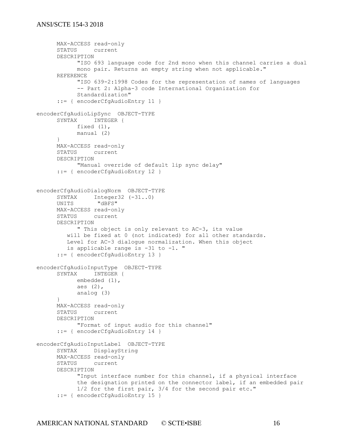```
MAX-ACCESS read-only
     STATUS current
     DESCRIPTION 
           "ISO 693 language code for 2nd mono when this channel carries a dual
           mono pair. Returns an empty string when not applicable."
     REFERENCE 
           "ISO 639-2:1998 Codes for the representation of names of languages
           -- Part 2: Alpha-3 code International Organization for
           Standardization"
     ::= { encoderCfgAudioEntry 11 }
encoderCfgAudioLipSync OBJECT-TYPE
     SYNTAX INTEGER {
          fixed (1),
          manual (2)
     }
     MAX-ACCESS read-only
     STATUS current
     DESCRIPTION 
           "Manual override of default lip sync delay"
     ::= { encoderCfgAudioEntry 12 }
encoderCfgAudioDialogNorm OBJECT-TYPE
      SYNTAX Integer32 (-31..0)
      UNITS "dBFS"
     MAX-ACCESS read-only
     STATUS current
     DESCRIPTION 
           " This object is only relevant to AC-3, its value 
         will be fixed at 0 (not indicated) for all other standards.
         Level for AC-3 dialogue normalization. When this object 
         is applicable range is -31 to -1. "
     ::= { encoderCfgAudioEntry 13 }
encoderCfgAudioInputType OBJECT-TYPE
     SYNTAX INTEGER {
           embedded (1),
           aes (2),
           analog (3)
     }
     MAX-ACCESS read-only
     STATUS current
     DESCRIPTION 
           "Format of input audio for this channel"
     ::= { encoderCfgAudioEntry 14 }
encoderCfgAudioInputLabel OBJECT-TYPE
     SYNTAX DisplayString
     MAX-ACCESS read-only
     STATUS current
     DESCRIPTION 
           "Input interface number for this channel, if a physical interface
           the designation printed on the connector label, if an embedded pair
            1/2 for the first pair, 3/4 for the second pair etc."
     ::= { encoderCfgAudioEntry 15 }
```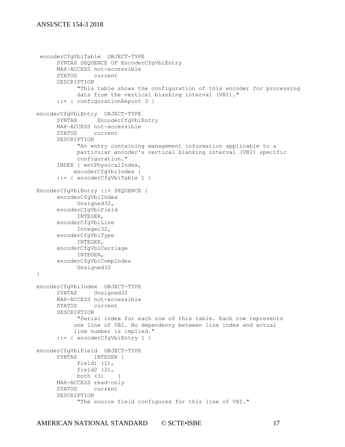```
encoderCfgVbiTable OBJECT-TYPE
      SYNTAX SEQUENCE OF EncoderCfgVbiEntry
     MAX-ACCESS not-accessible
     STATUS current
      DESCRIPTION 
            "This table shows the configuration of this encoder for processing
            data from the vertical blanking interval (VBI)."
      ::= { configurationReport 3 }
encoderCfgVbiEntry OBJECT-TYPE
     SYNTAX EncoderCfgVbiEntry
     MAX-ACCESS not-accessible
     STATUS current
      DESCRIPTION 
            "An entry containing management information applicable to a
           particular encoder's vertical blanking interval (VBI) specific
           configuration."
      INDEX { entPhysicalIndex, 
          encoderCfqVbiIndex }
      ::= { encoderCfgVbiTable 1 }
EncoderCfgVbiEntry ::= SEQUENCE {
     encoderCfgVbiIndex 
            Unsigned32,
       encoderCfgVbiField
            INTEGER,
       encoderCfgVbiLine
            Integer32,
       encoderCfgVbiType
            INTEGER,
       encoderCfgVbiCarriage
            INTEGER,
      encoderCfgVbiCompIndex
            Unsigned32
}
encoderCfgVbiIndex OBJECT-TYPE
     SYNTAX Unsigned32
     MAX-ACCESS not-accessible
      STATUS current
      DESCRIPTION 
           "Serial index for each row of this table. Each row represents
            one line of VBI. No dependency between line index and actual 
            line number is implied."
      ::= { encoderCfgVbiEntry 1 }
encoderCfgVbiField OBJECT-TYPE
      SYNTAX INTEGER {
           field1 (1),
            field2 (2),
           both (3)MAX-ACCESS read-only
      STATUS current
      DESCRIPTION 
            "The source field configured for this line of VBI."
```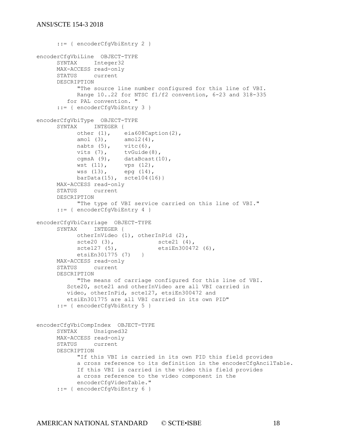```
::= { encoderCfgVbiEntry 2 }
encoderCfgVbiLine OBJECT-TYPE
     SYNTAX Integer32
     MAX-ACCESS read-only
     STATUS current
     DESCRIPTION 
           "The source line number configured for this line of VBI.
           Range 10..22 for NTSC f1/f2 convention, 6-23 and 318-335
         for PAL convention. "
     ::= { encoderCfgVbiEntry 3 }
encoderCfgVbiType OBJECT-TYPE
     SYNTAX INTEGER {
           other (1), eia608Caption(2),
           amol (3), amol2(4),
           nabts (5), vitc(6),
           vits (7), tvGuide(8),
           cgmsA (9), dataBcast(10),
           wst (11), vps (12),
           wss (13), epg (14),
          barData(15), step(11)MAX-ACCESS read-only
     STATUS current
     DESCRIPTION 
           "The type of VBI service carried on this line of VBI."
     ::= { encoderCfgVbiEntry 4 }
encoderCfgVbiCarriage OBJECT-TYPE
     SYNTAX INTEGER {
          otherInVideo (1), otherInPid (2),
           scte20 (3), scte21 (4),
           scte127 (5), etsiEn300472 (6),
          etsiEn301775 (7) }
     MAX-ACCESS read-only
     STATUS current
     DESCRIPTION 
          "The means of carriage configured for this line of VBI.
         Scte20, scte21 and otherInVideo are all VBI carried in 
         video, otherInPid, scte127, etsiEn300472 and
         etsiEn301775 are all VBI carried in its own PID"
     ::= { encoderCfgVbiEntry 5 }
encoderCfgVbiCompIndex OBJECT-TYPE
     SYNTAX Unsigned32 
     MAX-ACCESS read-only
     STATUS current
     DESCRIPTION 
           "If this VBI is carried in its own PID this field provides 
           a cross reference to its definition in the encoderCfgAncilTable.
           If this VBI is carried in the video this field provides 
           a cross reference to the video component in the 
           encoderCfgVideoTable."
     ::= { encoderCfgVbiEntry 6 }
```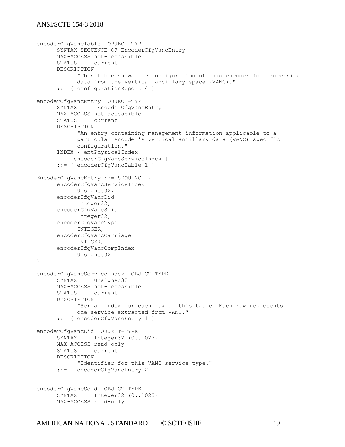```
encoderCfgVancTable OBJECT-TYPE
     SYNTAX SEQUENCE OF EncoderCfgVancEntry
     MAX-ACCESS not-accessible
     STATUS current
     DESCRIPTION 
           "This table shows the configuration of this encoder for processing
           data from the vertical ancillary space (VANC)."
      ::= { configurationReport 4 }
encoderCfgVancEntry OBJECT-TYPE
     SYNTAX EncoderCfgVancEntry
     MAX-ACCESS not-accessible
     STATUS current
     DESCRIPTION 
           "An entry containing management information applicable to a
           particular encoder's vertical ancillary data (VANC) specific
           configuration."
     INDEX { entPhysicalIndex, 
           encoderCfgVancServiceIndex }
      ::= { encoderCfgVancTable 1 }
EncoderCfgVancEntry ::= SEQUENCE {
     encoderCfgVancServiceIndex 
          Unsigned32, 
     encoderCfgVancDid 
          Integer32,
     encoderCfgVancSdid
           Integer32,
     encoderCfgVancType
           INTEGER,
     encoderCfgVancCarriage
           INTEGER,
     encoderCfgVancCompIndex
           Unsigned32
}
encoderCfgVancServiceIndex OBJECT-TYPE
     SYNTAX Unsigned32
     MAX-ACCESS not-accessible
     STATUS current
     DESCRIPTION 
           "Serial index for each row of this table. Each row represents
           one service extracted from VANC."
     ::= { encoderCfgVancEntry 1 }
encoderCfgVancDid OBJECT-TYPE
     SYNTAX Integer32 (0..1023)
     MAX-ACCESS read-only
     STATUS current
     DESCRIPTION 
           "Identifier for this VANC service type."
     ::= { encoderCfgVancEntry 2 }
encoderCfgVancSdid OBJECT-TYPE
     SYNTAX Integer32 (0..1023)
     MAX-ACCESS read-only
```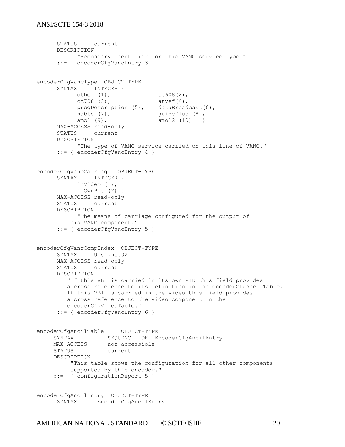```
STATUS current
     DESCRIPTION 
          "Secondary identifier for this VANC service type."
     ::= { encoderCfgVancEntry 3 }
encoderCfgVancType OBJECT-TYPE
     SYNTAX INTEGER {
           other (1), cc608(2),
           cc708 (3), atvef(4),
           progDescription (5), dataBroadcast(6), 
           nabts (7), guidePlus (8),
           amol (9), amol2 (10) }
     MAX-ACCESS read-only
     STATUS current
     DESCRIPTION 
           "The type of VANC service carried on this line of VANC."
     ::= { encoderCfgVancEntry 4 }
encoderCfgVancCarriage OBJECT-TYPE
     SYNTAX INTEGER {
          inVideo (1), 
          inOwnPid (2) }
     MAX-ACCESS read-only
     STATUS current
     DESCRIPTION 
           "The means of carriage configured for the output of 
         this VANC component." 
     ::= { encoderCfgVancEntry 5 }
encoderCfgVancCompIndex OBJECT-TYPE
     SYNTAX Unsigned32 
     MAX-ACCESS read-only
     STATUS current
     DESCRIPTION 
         "If this VBI is carried in its own PID this field provides 
         a cross reference to its definition in the encoderCfgAncilTable.
         If this VBI is carried in the video this field provides 
         a cross reference to the video component in the
         encoderCfgVideoTable." 
     ::= { encoderCfgVancEntry 6 }
encoderCfgAncilTable OBJECT-TYPE
 SYNTAX SEQUENCE OF EncoderCfgAncilEntry
MAX-ACCESS not-accessible
 STATUS current
     DESCRIPTION 
         "This table shows the configuration for all other components
         supported by this encoder."
     ::= { configurationReport 5 }
encoderCfgAncilEntry OBJECT-TYPE
     SYNTAX EncoderCfgAncilEntry
```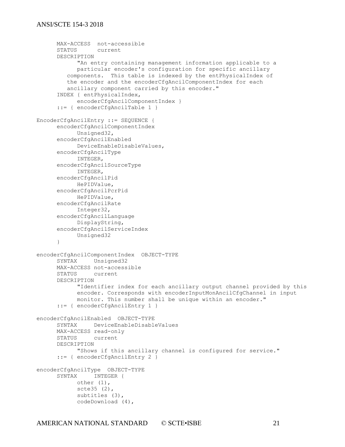```
MAX-ACCESS not-accessible
     STATUS current
     DESCRIPTION 
           "An entry containing management information applicable to a
           particular encoder's configuration for specific ancillary 
         components. This table is indexed by the entPhysicalIndex of
         the encoder and the encoderCfgAncilComponentIndex for each
         ancillary component carried by this encoder."
     INDEX { entPhysicalIndex, 
          encoderCfgAncilComponentIndex }
     ::= { encoderCfgAncilTable 1 }
EncoderCfgAncilEntry ::= SEQUENCE {
     encoderCfgAncilComponentIndex
           Unsigned32,
     encoderCfgAncilEnabled
           DeviceEnableDisableValues,
     encoderCfgAncilType
           INTEGER,
     encoderCfgAncilSourceType
           INTEGER,
     encoderCfgAncilPid
          HePIDValue,
     encoderCfgAncilPcrPid
          HePIDValue,
     encoderCfgAncilRate
           Integer32,
     encoderCfgAncilLanguage
          DisplayString,
     encoderCfgAncilServiceIndex
          Unsigned32
     }
encoderCfgAncilComponentIndex OBJECT-TYPE
     SYNTAX Unsigned32
     MAX-ACCESS not-accessible
     STATUS current
     DESCRIPTION 
           "Identifier index for each ancillary output channel provided by this
           encoder. Corresponds with encoderInputMonAncilCfgChannel in input
           monitor. This number shall be unique within an encoder."
     ::= { encoderCfgAncilEntry 1 }
encoderCfgAncilEnabled OBJECT-TYPE
     SYNTAX DeviceEnableDisableValues
     MAX-ACCESS read-only
     STATUS current
     DESCRIPTION 
           "Shows if this ancillary channel is configured for service."
     ::= { encoderCfgAncilEntry 2 }
encoderCfgAncilType OBJECT-TYPE
     SYNTAX INTEGER {
          other (1),
           scte35 (2),
           subtitles (3),
           codeDownload (4),
```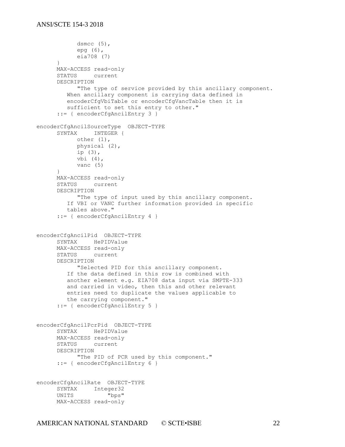```
dsmcc (5),
           epg (6),
           eia708 (7)
     }
     MAX-ACCESS read-only
     STATUS current
     DESCRIPTION 
           "The type of service provided by this ancillary component.
         When ancillary component is carrying data defined in 
         encoderCfgVbiTable or encoderCfgVancTable then it is 
         sufficient to set this entry to other."
     ::= { encoderCfgAncilEntry 3 }
encoderCfgAncilSourceType OBJECT-TYPE
     SYNTAX INTEGER {
           other (1),
           physical (2),
           ip (3),
           vbi (4),
           vanc (5)
     }
     MAX-ACCESS read-only
     STATUS current
     DESCRIPTION 
           "The type of input used by this ancillary component.
         If VBI or VANC further information provided in specific
         tables above."
     ::= { encoderCfgAncilEntry 4 }
encoderCfgAncilPid OBJECT-TYPE 
     SYNTAX HePIDValue 
     MAX-ACCESS read-only
     STATUS current
     DESCRIPTION 
           "Selected PID for this ancillary component.
         If the data defined in this row is combined with 
         another element e.g. EIA708 data input via SMPTE-333 
         and carried in video, then this and other relevant
         entries need to duplicate the values applicable to 
         the carrying component."
      ::= { encoderCfgAncilEntry 5 }
encoderCfgAncilPcrPid OBJECT-TYPE
     SYNTAX HePIDValue 
     MAX-ACCESS read-only
     STATUS current
     DESCRIPTION 
           "The PID of PCR used by this component."
     ::= { encoderCfgAncilEntry 6 }
encoderCfgAncilRate OBJECT-TYPE
     SYNTAX Integer32
     UNITS "bps"
     MAX-ACCESS read-only
```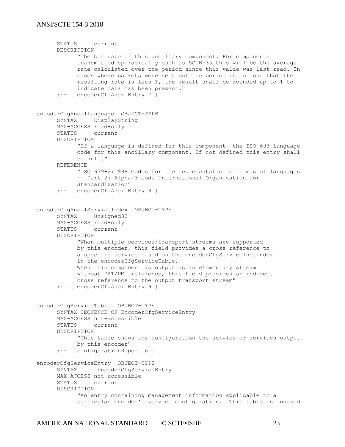```
STATUS current
     DESCRIPTION 
           "The bit rate of this ancillary component. For components
           transmitted sporadically such as SCTE-35 this will be the average
           rate calculated over the period since this value was last read. In
           cases where packets were sent but the period is so long that the
           resulting rate is less 1, the result shall be rounded up to 1 to
           indicate data has been present."
      ::= { encoderCfgAncilEntry 7 }
encoderCfgAncilLanguage OBJECT-TYPE
     SYNTAX DisplayString
     MAX-ACCESS read-only
     STATUS current
     DESCRIPTION 
           "If a language is defined for this component, the ISO 693 language
           code for this ancillary component. If not defined this entry shall
           be null."
     REFERENCE 
           "ISO 639-2:1998 Codes for the representation of names of languages
           -- Part 2: Alpha-3 code International Organization for
           Standardization"
     ::= { encoderCfgAncilEntry 8 }
encoderCfgAncilServiceIndex OBJECT-TYPE 
     SYNTAX Unsigned32
     MAX-ACCESS read-only
     STATUS current
     DESCRIPTION 
            "When multiple services/transport streams are supported
           by this encoder, this field provides a cross reference to
           a specific service based on the encoderCfgServiceInstIndex
           in the encoderCfgServiceTable. 
           When this component is output as an elementary stream
           without PAT/PMT reference, this field provides an indirect
           cross reference to the output transport stream" 
     ::= { encoderCfgAncilEntry 9 }
encoderCfgServiceTable OBJECT-TYPE
     SYNTAX SEQUENCE OF EncoderCfgServiceEntry
     MAX-ACCESS not-accessible
     STATUS current
     DESCRIPTION 
           "This table shows the configuration the service or services output
           by this encoder"
     ::= { configurationReport 6 }
encoderCfgServiceEntry OBJECT-TYPE
     SYNTAX EncoderCfgServiceEntry
     MAX-ACCESS not-accessible
     STATUS current
     DESCRIPTION 
           "An entry containing management information applicable to a
           particular encoder's service configuration. This table is indexed
```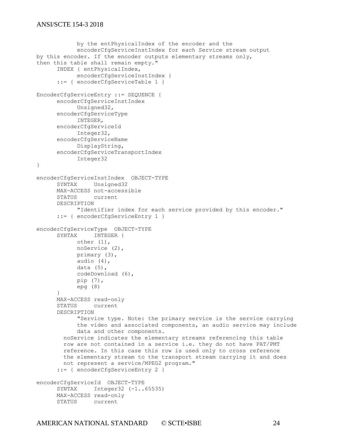```
by the entPhysicalIndex of the encoder and the 
            encoderCfgServiceInstIndex for each Service stream output 
by this encoder. If the encoder outputs elementary streams only, 
then this table shall remain empty." 
      INDEX { entPhysicalIndex, 
           encoderCfgServiceInstIndex }
      ::= { encoderCfgServiceTable 1 }
EncoderCfgServiceEntry ::= SEQUENCE {
      encoderCfgServiceInstIndex
           Unsigned32,
      encoderCfgServiceType
           INTEGER,
      encoderCfgServiceId
           Integer32,
      encoderCfgServiceName
           DisplayString,
      encoderCfgServiceTransportIndex
           Integer32
}
encoderCfgServiceInstIndex OBJECT-TYPE
     SYNTAX Unsigned32
     MAX-ACCESS not-accessible
      STATUS current
     DESCRIPTION 
           "Identifier index for each service provided by this encoder."
      ::= { encoderCfgServiceEntry 1 }
encoderCfgServiceType OBJECT-TYPE
      SYNTAX INTEGER {
           other (1),
           noService (2),
           primary (3),
           audio (4),
           data (5),
           codeDownload (6),
           pip (7),
           epg (8)
      }
     MAX-ACCESS read-only
      STATUS current
      DESCRIPTION 
            "Service type. Note: the primary service is the service carrying
            the video and associated components, an audio service may include
            data and other components.
         noService indicates the elementary streams referencing this table
         row are not contained in a service i.e. they do not have PAT/PMT
         reference. In this case this row is used only to cross reference 
        the elementary stream to the transport stream carrying it and does
         not represent a service/MPEG2 program."
      ::= { encoderCfgServiceEntry 2 }
encoderCfgServiceId OBJECT-TYPE
     SYNTAX Integer32 (-1..65535)
     MAX-ACCESS read-only
     STATUS current
```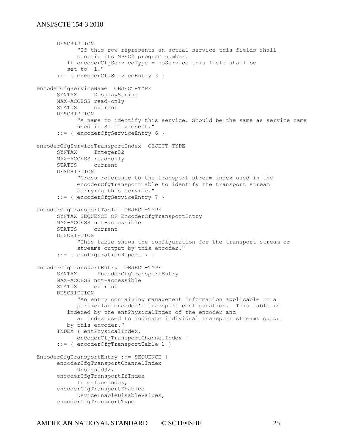```
DESCRIPTION 
            "If this row represents an actual service this fields shall
            contain its MPEG2 program number.
          If encoderCfgServiceType = noService this field shall be
         set to -1."
      ::= { encoderCfgServiceEntry 3 }
encoderCfgServiceName OBJECT-TYPE
     SYNTAX DisplayString
     MAX-ACCESS read-only
     STATUS current
     DESCRIPTION 
           "A name to identify this service. Should be the same as service name
           used in SI if present."
      ::= { encoderCfgServiceEntry 6 }
encoderCfgServiceTransportIndex OBJECT-TYPE
     SYNTAX Integer32
     MAX-ACCESS read-only
     STATUS current
     DESCRIPTION 
            "Cross reference to the transport stream index used in the 
           encoderCfgTransportTable to identify the transport stream 
           carrying this service."
      ::= { encoderCfgServiceEntry 7 }
encoderCfgTransportTable OBJECT-TYPE
     SYNTAX SEQUENCE OF EncoderCfgTransportEntry
     MAX-ACCESS not-accessible
     STATUS current
     DESCRIPTION 
            "This table shows the configuration for the transport stream or
           streams output by this encoder."
      ::= { configurationReport 7 }
encoderCfgTransportEntry OBJECT-TYPE
     SYNTAX EncoderCfgTransportEntry
     MAX-ACCESS not-accessible
     STATUS current
     DESCRIPTION 
           "An entry containing management information applicable to a
           particular encoder's transport configuration. This table is 
          indexed by the entPhysicalIndex of the encoder and
           an index used to indicate individual transport streams output 
         by this encoder."
      INDEX { entPhysicalIndex, 
           encoderCfgTransportChannelIndex }
      ::= { encoderCfgTransportTable 1 }
EncoderCfgTransportEntry ::= SEQUENCE {
     encoderCfgTransportChannelIndex
           Unsigned32,
     encoderCfgTransportIfIndex
           InterfaceIndex,
     encoderCfgTransportEnabled
           DeviceEnableDisableValues,
      encoderCfgTransportType
```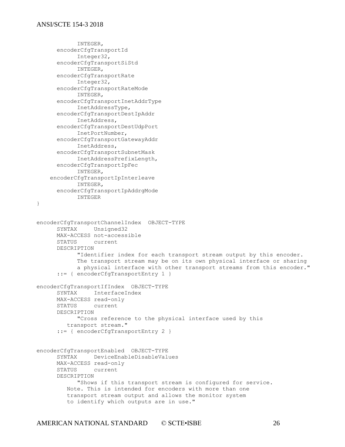```
INTEGER,
      encoderCfgTransportId
           Integer32,
      encoderCfgTransportSiStd
           INTEGER,
      encoderCfgTransportRate
           Integer32,
      encoderCfgTransportRateMode
           INTEGER,
      encoderCfgTransportInetAddrType
           InetAddressType,
      encoderCfgTransportDestIpAddr
           InetAddress,
      encoderCfgTransportDestUdpPort
           InetPortNumber,
      encoderCfgTransportGatewayAddr
           InetAddress,
      encoderCfgTransportSubnetMask
           InetAddressPrefixLength,
      encoderCfgTransportIpFec
           INTEGER,
     encoderCfgTransportIpInterleave
           INTEGER,
     encoderCfgTransportIpAddrgMode
           INTEGER
}
encoderCfgTransportChannelIndex OBJECT-TYPE
     SYNTAX Unsigned32
     MAX-ACCESS not-accessible
      STATUS current
      DESCRIPTION 
            "Identifier index for each transport stream output by this encoder.
            The transport stream may be on its own physical interface or sharing
            a physical interface with other transport streams from this encoder."
      ::= { encoderCfgTransportEntry 1 }
encoderCfgTransportIfIndex OBJECT-TYPE
     SYNTAX InterfaceIndex
     MAX-ACCESS read-only
      STATUS current
      DESCRIPTION 
           "Cross reference to the physical interface used by this
          transport stream."
      ::= { encoderCfgTransportEntry 2 }
encoderCfgTransportEnabled OBJECT-TYPE
     SYNTAX DeviceEnableDisableValues
     MAX-ACCESS read-only
      STATUS current
      DESCRIPTION 
           "Shows if this transport stream is configured for service. 
         Note. This is intended for encoders with more than one
          transport stream output and allows the monitor system
          to identify which outputs are in use."
```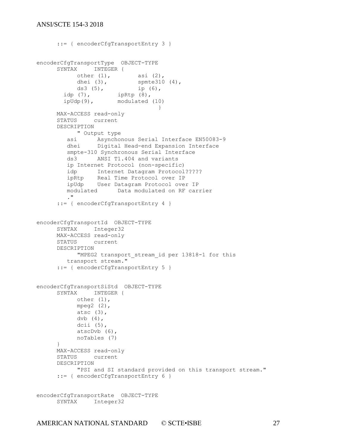```
::= { encoderCfgTransportEntry 3 }
encoderCfgTransportType OBJECT-TYPE
     SYNTAX INTEGER {
           other (1), \qquad \qquad asi (2),
           dhei (3), spmte310 (4),
           ds3 (5), ip (6),
 idp (7), ipRtp (8), 
 ipUdp(9), modulated (10)
                                }
     MAX-ACCESS read-only
     STATUS current
     DESCRIPTION 
          " Output type
 asi Asynchonous Serial Interface EN50083-9
 dhei Digital Head-end Expansion Interface
         smpte-310 Synchronous Serial Interface
         ds3 ANSI T1.404 and variants
         ip Internet Protocol (non-specific)
         idp Internet Datagram Protocol?????
 ipRtp Real Time Protocol over IP
 ipUdp User Datagram Protocol over IP
         modulated Data modulated on RF carrier
         ."
     ::= { encoderCfgTransportEntry 4 }
encoderCfgTransportId OBJECT-TYPE
     SYNTAX Integer32
     MAX-ACCESS read-only
     STATUS current
     DESCRIPTION 
          "MPEG2 transport stream id per 13818-1 for this
        transport stream."
     ::= { encoderCfgTransportEntry 5 }
encoderCfgTransportSiStd OBJECT-TYPE
     SYNTAX INTEGER {
          other (1),
          mpeq2 (2),
          atsc (3),
          dvb (4),
          dcii (5),
          atscDvb (6),
          noTables (7)
     }
     MAX-ACCESS read-only
     STATUS current
     DESCRIPTION 
          "PSI and SI standard provided on this transport stream."
     ::= { encoderCfgTransportEntry 6 }
encoderCfgTransportRate OBJECT-TYPE
     SYNTAX Integer32
```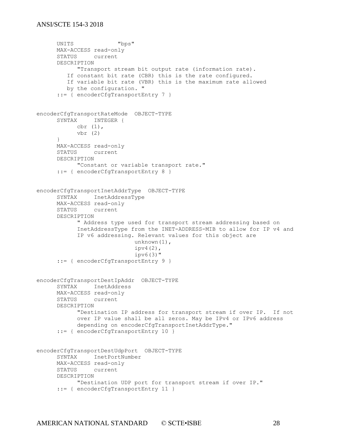```
UNITS "bps"
     MAX-ACCESS read-only
     STATUS current
     DESCRIPTION 
           "Transport stream bit output rate (information rate). 
         If constant bit rate (CBR) this is the rate configured.
         If variable bit rate (VBR) this is the maximum rate allowed
         by the configuration. "
      ::= { encoderCfgTransportEntry 7 }
encoderCfgTransportRateMode OBJECT-TYPE
     SYNTAX INTEGER {
          cbr (1),
           vbr (2)
      }
     MAX-ACCESS read-only
     STATUS current
     DESCRIPTION 
           "Constant or variable transport rate."
     ::= { encoderCfgTransportEntry 8 }
encoderCfgTransportInetAddrType OBJECT-TYPE
     SYNTAX InetAddressType
     MAX-ACCESS read-only
     STATUS current
     DESCRIPTION 
           " Address type used for transport stream addressing based on 
           InetAddressType from the INET-ADDRESS-MIB to allow for IP v4 and
           IP v6 addressing. Relevant values for this object are
                             unknown(1),
                            ipv4(2),
                            ipv6(3)"
      ::= { encoderCfgTransportEntry 9 }
encoderCfgTransportDestIpAddr OBJECT-TYPE
     SYNTAX InetAddress
     MAX-ACCESS read-only
     STATUS current
     DESCRIPTION 
           "Destination IP address for transport stream if over IP. If not
           over IP value shall be all zeros. May be IPv4 or IPv6 address
           depending on encoderCfgTransportInetAddrType."
      ::= { encoderCfgTransportEntry 10 }
encoderCfgTransportDestUdpPort OBJECT-TYPE
     SYNTAX InetPortNumber
     MAX-ACCESS read-only
     STATUS current
     DESCRIPTION 
           "Destination UDP port for transport stream if over IP."
      ::= { encoderCfgTransportEntry 11 }
```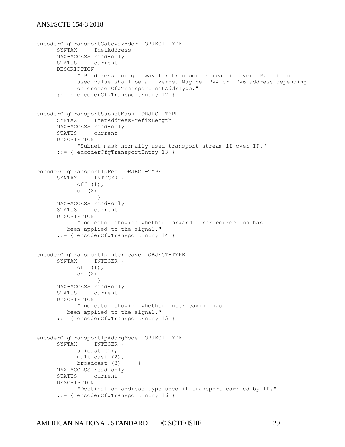```
encoderCfgTransportGatewayAddr OBJECT-TYPE
     SYNTAX InetAddress
     MAX-ACCESS read-only
     STATUS current
     DESCRIPTION 
           "IP address for gateway for transport stream if over IP. If not
           used value shall be all zeros. May be IPv4 or IPv6 address depending
           on encoderCfgTransportInetAddrType."
     ::= { encoderCfgTransportEntry 12 }
encoderCfgTransportSubnetMask OBJECT-TYPE
     SYNTAX InetAddressPrefixLength
     MAX-ACCESS read-only
     STATUS current
     DESCRIPTION 
           "Subnet mask normally used transport stream if over IP."
     ::= { encoderCfgTransportEntry 13 }
encoderCfgTransportIpFec OBJECT-TYPE
     SYNTAX INTEGER {
           off (1),
           on (2)
                }
     MAX-ACCESS read-only
     STATUS current
     DESCRIPTION 
           "Indicator showing whether forward error correction has
         been applied to the signal."
     ::= { encoderCfgTransportEntry 14 }
encoderCfgTransportIpInterleave OBJECT-TYPE
     SYNTAX INTEGER {
           off (1),
           on (2)
                 }
     MAX-ACCESS read-only
     STATUS current
     DESCRIPTION 
           "Indicator showing whether interleaving has
         been applied to the signal."
     ::= { encoderCfgTransportEntry 15 }
encoderCfgTransportIpAddrgMode OBJECT-TYPE
     SYNTAX INTEGER {
           unicast (1),
           multicast (2),
           broadcast (3) }
     MAX-ACCESS read-only
     STATUS current
     DESCRIPTION 
           "Destination address type used if transport carried by IP."
     ::= { encoderCfgTransportEntry 16 }
```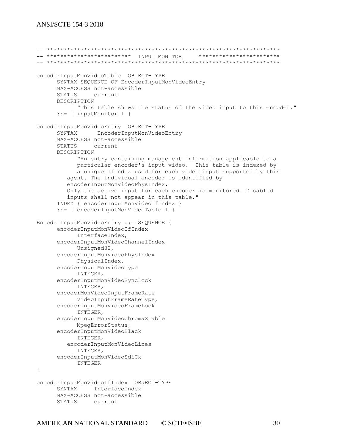-- \*\*\*\*\*\*\*\*\*\*\*\*\*\*\*\*\*\*\*\*\*\*\*\*\*\*\*\*\*\*\*\*\*\*\*\*\*\*\*\*\*\*\*\*\*\*\*\*\*\*\*\*\*\*\*\*\*\*\*\*\*\*\*\*\*\*\*\*\* -- \*\*\*\*\*\*\*\*\*\*\*\*\*\*\*\*\*\*\*\*\*\*\*\*\* INPUT MONITOR \*\*\*\*\*\*\*\*\*\*\*\*\*\*\*\*\*\*\*\*\*\*\*\* -- \*\*\*\*\*\*\*\*\*\*\*\*\*\*\*\*\*\*\*\*\*\*\*\*\*\*\*\*\*\*\*\*\*\*\*\*\*\*\*\*\*\*\*\*\*\*\*\*\*\*\*\*\*\*\*\*\*\*\*\*\*\*\*\*\*\*\*\*\* encoderInputMonVideoTable OBJECT-TYPE SYNTAX SEQUENCE OF EncoderInputMonVideoEntry MAX-ACCESS not-accessible STATUS current DESCRIPTION "This table shows the status of the video input to this encoder." ::= { inputMonitor 1 } encoderInputMonVideoEntry OBJECT-TYPE SYNTAX EncoderInputMonVideoEntry MAX-ACCESS not-accessible STATUS current DESCRIPTION "An entry containing management information applicable to a particular encoder's input video. This table is indexed by a unique IfIndex used for each video input supported by this agent. The individual encoder is identified by encoderInputMonVideoPhysIndex. Only the active input for each encoder is monitored. Disabled inputs shall not appear in this table." INDEX { encoderInputMonVideoIfIndex } ::= { encoderInputMonVideoTable 1 } EncoderInputMonVideoEntry ::= SEQUENCE { encoderInputMonVideoIfIndex InterfaceIndex, encoderInputMonVideoChannelIndex Unsigned32, encoderInputMonVideoPhysIndex PhysicalIndex, encoderInputMonVideoType INTEGER, encoderInputMonVideoSyncLock INTEGER, encoderMonVideoInputFrameRate VideoInputFrameRateType, encoderInputMonVideoFrameLock INTEGER, encoderInputMonVideoChromaStable MpegErrorStatus, encoderInputMonVideoBlack INTEGER, encoderInputMonVideoLines INTEGER, encoderInputMonVideoSdiCk INTEGER } encoderInputMonVideoIfIndex OBJECT-TYPE SYNTAX InterfaceIndex MAX-ACCESS not-accessible

STATUS current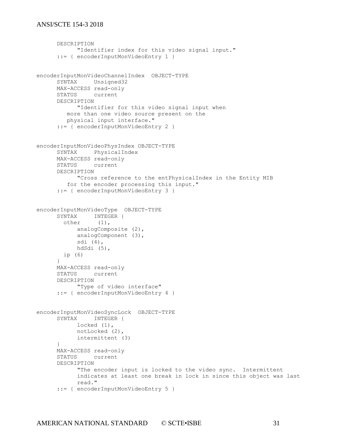```
DESCRIPTION 
           "Identifier index for this video signal input."
      ::= { encoderInputMonVideoEntry 1 }
encoderInputMonVideoChannelIndex OBJECT-TYPE
     SYNTAX Unsigned32
     MAX-ACCESS read-only
     STATUS current
     DESCRIPTION 
           "Identifier for this video signal input when
         more than one video source present on the 
         physical input interface."
     ::= { encoderInputMonVideoEntry 2 }
encoderInputMonVideoPhysIndex OBJECT-TYPE
     SYNTAX PhysicalIndex
     MAX-ACCESS read-only
     STATUS current
     DESCRIPTION 
           "Cross reference to the entPhysicalIndex in the Entity MIB
         for the encoder processing this input."
     ::= { encoderInputMonVideoEntry 3 }
encoderInputMonVideoType OBJECT-TYPE
     SYNTAX INTEGER {
        other (1),
           analogComposite (2),
           analogComponent (3),
           sdi (4),
           hdSdi (5),
        ip (6)
     }
     MAX-ACCESS read-only
     STATUS current
     DESCRIPTION 
          "Type of video interface"
     ::= { encoderInputMonVideoEntry 4 }
encoderInputMonVideoSyncLock OBJECT-TYPE
     SYNTAX INTEGER {
           locked (1),
           notLocked (2),
           intermittent (3)
     }
     MAX-ACCESS read-only
     STATUS current
     DESCRIPTION 
           "The encoder input is locked to the video sync. Intermittent
           indicates at least one break in lock in since this object was last
           read."
     ::= { encoderInputMonVideoEntry 5 }
```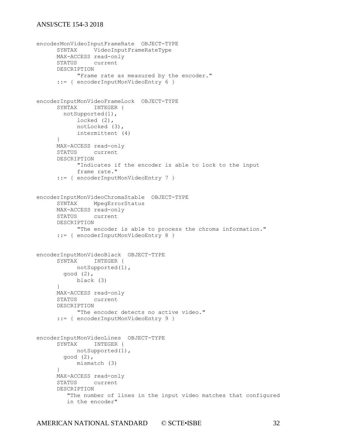```
encoderMonVideoInputFrameRate OBJECT-TYPE
     SYNTAX VideoInputFrameRateType
     MAX-ACCESS read-only
     STATUS current
     DESCRIPTION 
           "Frame rate as measured by the encoder."
     ::= { encoderInputMonVideoEntry 6 }
encoderInputMonVideoFrameLock OBJECT-TYPE
     SYNTAX INTEGER {
        notSupported(1),
           locked (2),
           notLocked (3),
           intermittent (4)
      }
     MAX-ACCESS read-only
     STATUS current
     DESCRIPTION 
           "Indicates if the encoder is able to lock to the input
           frame rate."
     ::= { encoderInputMonVideoEntry 7 }
encoderInputMonVideoChromaStable OBJECT-TYPE
     SYNTAX MpegErrorStatus
     MAX-ACCESS read-only
     STATUS current
     DESCRIPTION 
           "The encoder is able to process the chroma information."
      ::= { encoderInputMonVideoEntry 8 }
encoderInputMonVideoBlack OBJECT-TYPE
     SYNTAX INTEGER {
          notSupported(1),
        good (2),
          black (3)
     }
     MAX-ACCESS read-only
     STATUS current
     DESCRIPTION 
           "The encoder detects no active video."
      ::= { encoderInputMonVideoEntry 9 }
encoderInputMonVideoLines OBJECT-TYPE
     SYNTAX INTEGER {
          notSupported(1),
        good (2),
           mismatch (3)
     }
     MAX-ACCESS read-only
     STATUS current
     DESCRIPTION 
         "The number of lines in the input video matches that configured
         in the encoder"
```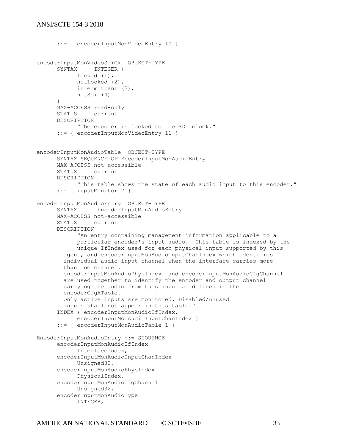```
::= { encoderInputMonVideoEntry 10 }
encoderInputMonVideoSdiCk OBJECT-TYPE
     SYNTAX INTEGER { 
           locked (1),
           notLocked (2),
           intermittent (3),
           notSdi (4)
      }
     MAX-ACCESS read-only
     STATUS current
     DESCRIPTION 
           "The encoder is locked to the SDI clock."
      ::= { encoderInputMonVideoEntry 11 }
encoderInputMonAudioTable OBJECT-TYPE
     SYNTAX SEQUENCE OF EncoderInputMonAudioEntry
     MAX-ACCESS not-accessible
     STATUS current
     DESCRIPTION 
           "This table shows the state of each audio input to this encoder."
     ::= { inputMonitor 2 }
encoderInputMonAudioEntry OBJECT-TYPE
     SYNTAX EncoderInputMonAudioEntry
     MAX-ACCESS not-accessible
     STATUS current
     DESCRIPTION 
            "An entry containing management information applicable to a
            particular encoder's input audio. This table is indexed by the
           unique IfIndex used for each physical input supported by this
        agent, and encoderInputMonAudioInputChanIndex which identifies
        individual audio input channel when the interface carries more
        than one channel.
        encoderInputMonAudioPhysIndex and encoderInputMonAudioCfgChannel 
        are used together to identify the encoder and output channel 
        carrying the audio from this input as defined in the 
        encoderCfgATable.
        Only active inputs are monitored. Disabled/unused 
        inputs shall not appear in this table."
      INDEX { encoderInputMonAudioIfIndex, 
            encoderInputMonAudioInputChanIndex }
      ::= { encoderInputMonAudioTable 1 }
EncoderInputMonAudioEntry ::= SEQUENCE {
     encoderInputMonAudioIfIndex
           InterfaceIndex,
     encoderInputMonAudioInputChanIndex
           Unsigned32,
     encoderInputMonAudioPhysIndex
           PhysicalIndex,
      encoderInputMonAudioCfgChannel
           Unsigned32,
     encoderInputMonAudioType
            INTEGER,
```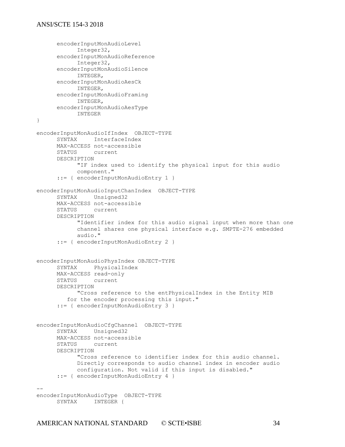```
encoderInputMonAudioLevel
           Integer32,
     encoderInputMonAudioReference
           Integer32,
     encoderInputMonAudioSilence
           INTEGER,
     encoderInputMonAudioAesCk
          INTEGER,
     encoderInputMonAudioFraming
          INTEGER,
     encoderInputMonAudioAesType
           INTEGER
}
encoderInputMonAudioIfIndex OBJECT-TYPE
     SYNTAX InterfaceIndex
     MAX-ACCESS not-accessible
     STATUS current
     DESCRIPTION 
           "IF index used to identify the physical input for this audio 
           component."
     ::= { encoderInputMonAudioEntry 1 }
encoderInputMonAudioInputChanIndex OBJECT-TYPE
     SYNTAX Unsigned32
     MAX-ACCESS not-accessible
     STATUS current
     DESCRIPTION 
           "Identifier index for this audio signal input when more than one
           channel shares one physical interface e.g. SMPTE-276 embedded 
           audio."
     ::= { encoderInputMonAudioEntry 2 }
encoderInputMonAudioPhysIndex OBJECT-TYPE
     SYNTAX PhysicalIndex
     MAX-ACCESS read-only
     STATUS current
     DESCRIPTION 
           "Cross reference to the entPhysicalIndex in the Entity MIB
         for the encoder processing this input."
     ::= { encoderInputMonAudioEntry 3 }
encoderInputMonAudioCfgChannel OBJECT-TYPE
     SYNTAX Unsigned32
     MAX-ACCESS not-accessible
     STATUS current
     DESCRIPTION 
           "Cross reference to identifier index for this audio channel.
           Directly corresponds to audio channel index in encoder audio
           configuration. Not valid if this input is disabled."
     ::= { encoderInputMonAudioEntry 4 }
--
encoderInputMonAudioType OBJECT-TYPE
     SYNTAX INTEGER {
```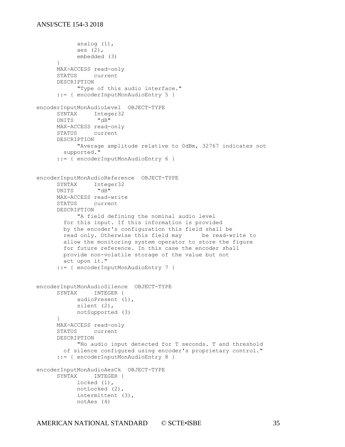```
analog (1),
           aes (2),
           embedded (3)
      }
     MAX-ACCESS read-only
      STATUS current
      DESCRIPTION 
           "Type of this audio interface."
      ::= { encoderInputMonAudioEntry 5 }
encoderInputMonAudioLevel OBJECT-TYPE
     SYNTAX Integer32
     UNITS "dB"
     MAX-ACCESS read-only
     STATUS current
     DESCRIPTION 
            "Average amplitude relative to 0dBm, 32767 indicates not
        supported."
      ::= { encoderInputMonAudioEntry 6 }
encoderInputMonAudioReference OBJECT-TYPE
     SYNTAX Integer32<br>
UNITS "dB"
     UNITS
     MAX-ACCESS read-write
     STATUS current
     DESCRIPTION 
            "A field defining the nominal audio level
         for this input. If this information is provided
         by the encoder's configuration this field shall be 
         read only. Otherwise this field may be read-write to 
         allow the monitoring system operator to store the figure
        for future reference. In this case the encoder shall
        provide non-volatile storage of the value but not 
        act upon it."
      ::= { encoderInputMonAudioEntry 7 }
encoderInputMonAudioSilence OBJECT-TYPE
     SYNTAX INTEGER {
          audioPresent (1),
           silent (2),
           notSupported (3)
      }
     MAX-ACCESS read-only
      STATUS current
     DESCRIPTION 
            "No audio input detected for T seconds. T and threshold
        of silence configured using encoder's proprietary control."
      ::= { encoderInputMonAudioEntry 8 }
encoderInputMonAudioAesCk OBJECT-TYPE
      SYNTAX INTEGER {
           locked (1),
           notLocked (2),
           intermittent (3),
           notAes (4)
```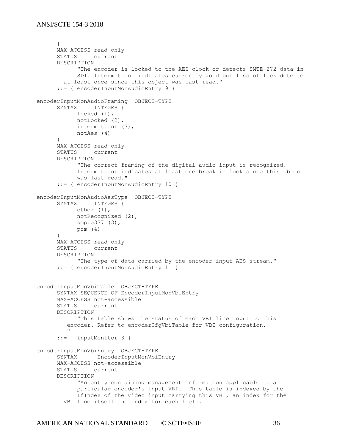```
}
     MAX-ACCESS read-only
     STATUS current
     DESCRIPTION 
           "The encoder is locked to the AES clock or detects SMTE-272 data in
           SDI. Intermittent indicates currently good but loss of lock detected
        at least once since this object was last read."
     ::= { encoderInputMonAudioEntry 9 }
encoderInputMonAudioFraming OBJECT-TYPE
     SYNTAX INTEGER {
          locked (1),
           notLocked (2),
           intermittent (3),
           notAes (4)
     }
     MAX-ACCESS read-only
     STATUS current
     DESCRIPTION 
           "The correct framing of the digital audio input is recognized.
           Intermittent indicates at least one break in lock since this object
           was last read."
     ::= { encoderInputMonAudioEntry 10 }
encoderInputMonAudioAesType OBJECT-TYPE
     SYNTAX INTEGER {
          other (1),
           notRecognized (2),
           smpte337 (3),
           pcm (4)
     }
     MAX-ACCESS read-only
     STATUS current
     DESCRIPTION 
           "The type of data carried by the encoder input AES stream."
     ::= { encoderInputMonAudioEntry 11 }
encoderInputMonVbiTable OBJECT-TYPE
     SYNTAX SEQUENCE OF EncoderInputMonVbiEntry
     MAX-ACCESS not-accessible
     STATUS current
     DESCRIPTION 
           "This table shows the status of each VBI line input to this 
         encoder. Refer to encoderCfgVbiTable for VBI configuration.
 "
      ::= { inputMonitor 3 }
encoderInputMonVbiEntry OBJECT-TYPE
     SYNTAX EncoderInputMonVbiEntry
     MAX-ACCESS not-accessible
     STATUS current
     DESCRIPTION 
           "An entry containing management information applicable to a
           particular encoder's input VBI. This table is indexed by the
           IfIndex of the video input carrying this VBI, an index for the
        VBI line itself and index for each field.
```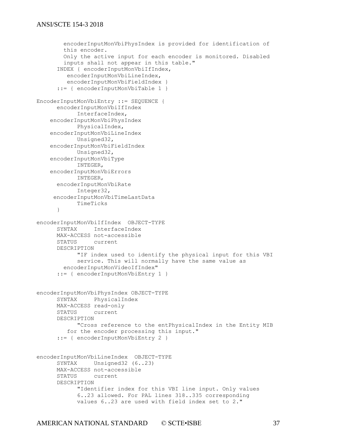```
 encoderInputMonVbiPhysIndex is provided for identification of
         this encoder.
         Only the active input for each encoder is monitored. Disabled
         inputs shall not appear in this table."
      INDEX { encoderInputMonVbiIfIndex,
         encoderInputMonVbiLineIndex, 
        encoderInputMonVbiFieldIndex }
      ::= { encoderInputMonVbiTable 1 }
EncoderInputMonVbiEntry ::= SEQUENCE {
      encoderInputMonVbiIfIndex
           InterfaceIndex,
     encoderInputMonVbiPhysIndex 
           PhysicalIndex,
     encoderInputMonVbiLineIndex
            Unsigned32,
     encoderInputMonVbiFieldIndex
            Unsigned32,
     encoderInputMonVbiType
           INTEGER,
     encoderInputMonVbiErrors
           INTEGER,
     encoderInputMonVbiRate 
          Integer32,
      encoderInputMonVbiTimeLastData
           TimeTicks
      }
encoderInputMonVbiIfIndex OBJECT-TYPE
     SYNTAX InterfaceIndex
     MAX-ACCESS not-accessible
      STATUS current
      DESCRIPTION 
            "IF index used to identify the physical input for this VBI 
           service. This will normally have the same value as
        encoderInputMonVideoIfIndex"
      ::= { encoderInputMonVbiEntry 1 }
encoderInputMonVbiPhysIndex OBJECT-TYPE
     SYNTAX PhysicalIndex
     MAX-ACCESS read-only
     STATUS current
      DESCRIPTION 
            "Cross reference to the entPhysicalIndex in the Entity MIB
          for the encoder processing this input."
      ::= { encoderInputMonVbiEntry 2 }
encoderInputMonVbiLineIndex OBJECT-TYPE
     SYNTAX Unsigned32 (6..23)
     MAX-ACCESS not-accessible
      STATUS current
      DESCRIPTION 
            "Identifier index for this VBI line input. Only values
            6..23 allowed. For PAL lines 318..335 corresponding 
            values 6..23 are used with field index set to 2."
```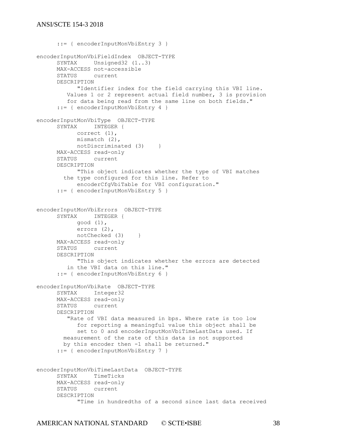```
::= { encoderInputMonVbiEntry 3 }
encoderInputMonVbiFieldIndex OBJECT-TYPE
     SYNTAX Unsigned32 (1..3)
     MAX-ACCESS not-accessible
     STATUS current
     DESCRIPTION 
           "Identifier index for the field carrying this VBI line.
         Values 1 or 2 represent actual field number, 3 is provision 
         for data being read from the same line on both fields."
     ::= { encoderInputMonVbiEntry 4 }
encoderInputMonVbiType OBJECT-TYPE
     SYNTAX INTEGER {
           correct (1),
           mismatch (2),
           notDiscriminated (3) }
     MAX-ACCESS read-only
     STATUS current
     DESCRIPTION 
           "This object indicates whether the type of VBI matches
        the type configured for this line. Refer to 
           encoderCfgVbiTable for VBI configuration."
      ::= { encoderInputMonVbiEntry 5 }
encoderInputMonVbiErrors OBJECT-TYPE
     SYNTAX INTEGER {
           good (1),
           errors (2),
           notChecked (3) }
     MAX-ACCESS read-only
     STATUS current
     DESCRIPTION 
           "This object indicates whether the errors are detected 
         in the VBI data on this line."
     ::= { encoderInputMonVbiEntry 6 }
encoderInputMonVbiRate OBJECT-TYPE
     SYNTAX Integer32
     MAX-ACCESS read-only
     STATUS current
     DESCRIPTION 
         "Rate of VBI data measured in bps. Where rate is too low
           for reporting a meaningful value this object shall be
           set to 0 and encoderInputMonVbiTimeLastData used. If 
        measurement of the rate of this data is not supported 
        by this encoder then -1 shall be returned."
      ::= { encoderInputMonVbiEntry 7 }
encoderInputMonVbiTimeLastData OBJECT-TYPE
     SYNTAX TimeTicks
     MAX-ACCESS read-only
     STATUS current
     DESCRIPTION 
           "Time in hundredths of a second since last data received
```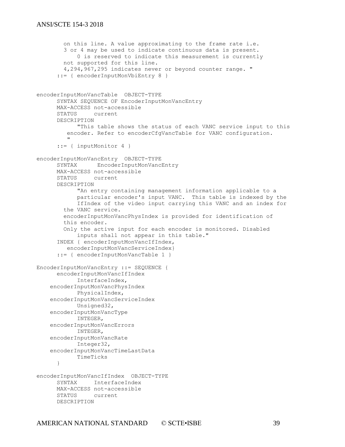```
 on this line. A value approximating to the frame rate i.e.
         3 or 4 may be used to indicate continuous data is present.
            0 is reserved to indicate this measurement is currently
         not supported for this line. 
         4,294,967,295 indicates never or beyond counter range. "
      ::= { encoderInputMonVbiEntry 8 }
encoderInputMonVancTable OBJECT-TYPE
     SYNTAX SEQUENCE OF EncoderInputMonVancEntry
     MAX-ACCESS not-accessible
      STATUS current
      DESCRIPTION
           "This table shows the status of each VANC service input to this 
          encoder. Refer to encoderCfgVancTable for VANC configuration.
 "
      ::= { inputMonitor 4 }
encoderInputMonVancEntry OBJECT-TYPE
     SYNTAX EncoderInputMonVancEntry
     MAX-ACCESS not-accessible
     STATUS current
     DESCRIPTION 
           "An entry containing management information applicable to a
           particular encoder's input VANC. This table is indexed by the
           IfIndex of the video input carrying this VANC and an index for 
         the VANC service.
         encoderInputMonVancPhysIndex is provided for identification of
         this encoder.
         Only the active input for each encoder is monitored. Disabled
            inputs shall not appear in this table."
      INDEX { encoderInputMonVancIfIndex,
          encoderInputMonVancServiceIndex}
      ::= { encoderInputMonVancTable 1 }
EncoderInputMonVancEntry ::= SEQUENCE {
     encoderInputMonVancIfIndex
           InterfaceIndex,
     encoderInputMonVancPhysIndex
            PhysicalIndex,
     encoderInputMonVancServiceIndex
            Unsigned32,
     encoderInputMonVancType
           INTEGER,
     encoderInputMonVancErrors
           INTEGER,
     encoderInputMonVancRate
          Integer32,
     encoderInputMonVancTimeLastData
          TimeTicks
      }
encoderInputMonVancIfIndex OBJECT-TYPE
     SYNTAX InterfaceIndex
     MAX-ACCESS not-accessible
     STATUS current
     DESCRIPTION
```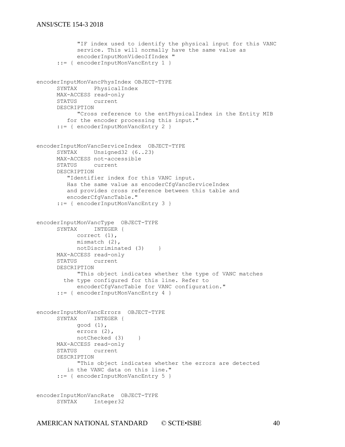```
"IF index used to identify the physical input for this VANC 
           service. This will normally have the same value as
           encoderInputMonVideoIfIndex "
     ::= { encoderInputMonVancEntry 1 }
encoderInputMonVancPhysIndex OBJECT-TYPE
     SYNTAX PhysicalIndex
     MAX-ACCESS read-only
     STATUS current
     DESCRIPTION 
          "Cross reference to the entPhysicalIndex in the Entity MIB
         for the encoder processing this input."
     ::= { encoderInputMonVancEntry 2 }
encoderInputMonVancServiceIndex OBJECT-TYPE
     SYNTAX Unsigned32 (6..23)
     MAX-ACCESS not-accessible
     STATUS current
     DESCRIPTION 
         "Identifier index for this VANC input. 
         Has the same value as encoderCfgVancServiceIndex
         and provides cross reference between this table and
         encoderCfgVancTable."
      ::= { encoderInputMonVancEntry 3 }
encoderInputMonVancType OBJECT-TYPE
     SYNTAX INTEGER {
           correct (1),
           mismatch (2),
           notDiscriminated (3) }
     MAX-ACCESS read-only
     STATUS current
     DESCRIPTION 
           "This object indicates whether the type of VANC matches
        the type configured for this line. Refer to 
          encoderCfgVancTable for VANC configuration."
     ::= { encoderInputMonVancEntry 4 }
encoderInputMonVancErrors OBJECT-TYPE
     SYNTAX INTEGER {
           good (1),
           errors (2),
           notChecked (3) }
     MAX-ACCESS read-only
     STATUS current
     DESCRIPTION 
           "This object indicates whether the errors are detected 
         in the VANC data on this line."
     ::= { encoderInputMonVancEntry 5 }
encoderInputMonVancRate OBJECT-TYPE
     SYNTAX Integer32
```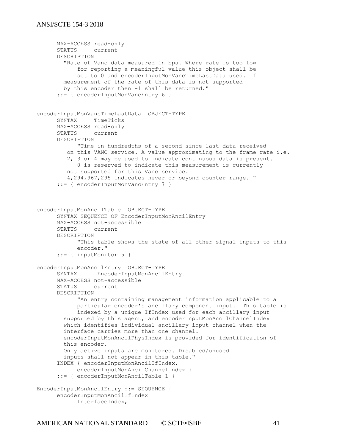```
MAX-ACCESS read-only
      STATUS current
      DESCRIPTION 
         "Rate of Vanc data measured in bps. Where rate is too low
            for reporting a meaningful value this object shall be
            set to 0 and encoderInputMonVancTimeLastData used. If 
         measurement of the rate of this data is not supported 
        by this encoder then -1 shall be returned."
      ::= { encoderInputMonVancEntry 6 }
encoderInputMonVancTimeLastData OBJECT-TYPE
     SYNTAX TimeTicks
     MAX-ACCESS read-only
     STATUS current
      DESCRIPTION 
            "Time in hundredths of a second since last data received
          on this VANC service. A value approximating to the frame rate i.e.
          2, 3 or 4 may be used to indicate continuous data is present.
            0 is reserved to indicate this measurement is currently
         not supported for this Vanc service. 
          4,294,967,295 indicates never or beyond counter range. "
      ::= { encoderInputMonVancEntry 7 }
encoderInputMonAncilTable OBJECT-TYPE
      SYNTAX SEQUENCE OF EncoderInputMonAncilEntry
     MAX-ACCESS not-accessible
     STATUS current
      DESCRIPTION 
            "This table shows the state of all other signal inputs to this
            encoder."
      ::= { inputMonitor 5 }
encoderInputMonAncilEntry OBJECT-TYPE
     SYNTAX EncoderInputMonAncilEntry
     MAX-ACCESS not-accessible
      STATUS current
     DESCRIPTION 
            "An entry containing management information applicable to a
           particular encoder's ancillary component input. This table is
           indexed by a unique IfIndex used for each ancillary input 
         supported by this agent, and encoderInputMonAncilChannelIndex 
         which identifies individual ancillary input channel when the 
         interface carries more than one channel.
         encoderInputMonAncilPhysIndex is provided for identification of
         this encoder.
         Only active inputs are monitored. Disabled/unused 
         inputs shall not appear in this table."
      INDEX { encoderInputMonAncilIfIndex, 
           encoderInputMonAncilChannelIndex }
      ::= { encoderInputMonAncilTable 1 }
EncoderInputMonAncilEntry ::= SEQUENCE {
      encoderInputMonAncilIfIndex
            InterfaceIndex,
```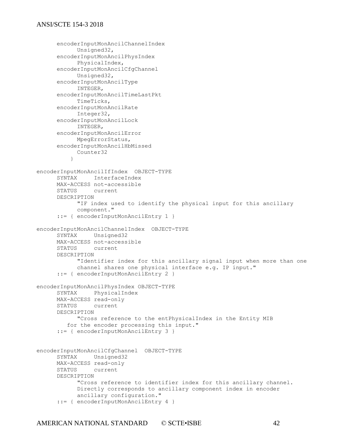```
encoderInputMonAncilChannelIndex
           Unsigned32,
     encoderInputMonAncilPhysIndex
           PhysicalIndex,
     encoderInputMonAncilCfgChannel
          Unsigned32,
     encoderInputMonAncilType
          INTEGER,
     encoderInputMonAncilTimeLastPkt
           TimeTicks,
     encoderInputMonAncilRate
          Integer32,
     encoderInputMonAncilLock
           INTEGER,
     encoderInputMonAncilError
           MpegErrorStatus,
     encoderInputMonAncilHbMissed
           Counter32
 }
encoderInputMonAncilIfIndex OBJECT-TYPE
     SYNTAX InterfaceIndex
     MAX-ACCESS not-accessible
     STATUS current
     DESCRIPTION 
           "IF index used to identify the physical input for this ancillary
           component."
     ::= { encoderInputMonAncilEntry 1 }
encoderInputMonAncilChannelIndex OBJECT-TYPE
     SYNTAX Unsigned32
     MAX-ACCESS not-accessible
     STATUS current
     DESCRIPTION 
           "Identifier index for this ancillary signal input when more than one
           channel shares one physical interface e.g. IP input."
     ::= { encoderInputMonAncilEntry 2 }
encoderInputMonAncilPhysIndex OBJECT-TYPE
     SYNTAX PhysicalIndex
     MAX-ACCESS read-only
     STATUS current
     DESCRIPTION 
           "Cross reference to the entPhysicalIndex in the Entity MIB
         for the encoder processing this input."
     ::= { encoderInputMonAncilEntry 3 }
encoderInputMonAncilCfgChannel OBJECT-TYPE
     SYNTAX Unsigned32
     MAX-ACCESS read-only
     STATUS current
     DESCRIPTION 
           "Cross reference to identifier index for this ancillary channel.
           Directly corresponds to ancillary component index in encoder
           ancillary configuration."
      ::= { encoderInputMonAncilEntry 4 }
```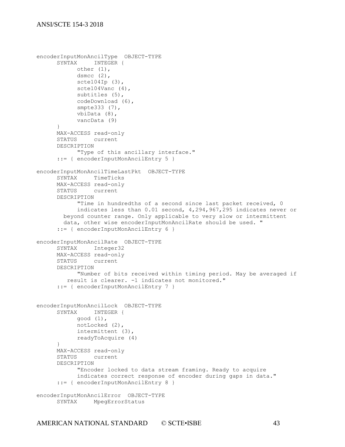```
encoderInputMonAncilType OBJECT-TYPE
     SYNTAX INTEGER {
           other (1),
           dsmcc (2),
           scte104Ip (3),
           scte104Vanc (4),
           subtitles (5),
           codeDownload (6),
           smpte333 (7),
           vbiData (8),
           vancData (9)
     }
     MAX-ACCESS read-only
     STATUS current
     DESCRIPTION 
           "Type of this ancillary interface."
     ::= { encoderInputMonAncilEntry 5 }
encoderInputMonAncilTimeLastPkt OBJECT-TYPE
     SYNTAX TimeTicks
     MAX-ACCESS read-only
     STATUS current
     DESCRIPTION 
           "Time in hundredths of a second since last packet received, 0
           indicates less than 0.01 second, 4,294,967,295 indicates never or
        beyond counter range. Only applicable to very slow or intermittent
        data, other wise encoderInputMonAncilRate should be used. "
      ::= { encoderInputMonAncilEntry 6 }
encoderInputMonAncilRate OBJECT-TYPE
     SYNTAX Integer32
     MAX-ACCESS read-only
     STATUS current
     DESCRIPTION
           "Number of bits received within timing period. May be averaged if
         result is clearer. -1 indicates not monitored."
     ::= { encoderInputMonAncilEntry 7 }
encoderInputMonAncilLock OBJECT-TYPE
     SYNTAX INTEGER {
           good (1),
           notLocked (2),
           intermittent (3),
           readyToAcquire (4)
     }
     MAX-ACCESS read-only
     STATUS current
     DESCRIPTION 
           "Encoder locked to data stream framing. Ready to acquire 
           indicates correct response of encoder during gaps in data."
     ::= { encoderInputMonAncilEntry 8 }
encoderInputMonAncilError OBJECT-TYPE
     SYNTAX MpegErrorStatus
```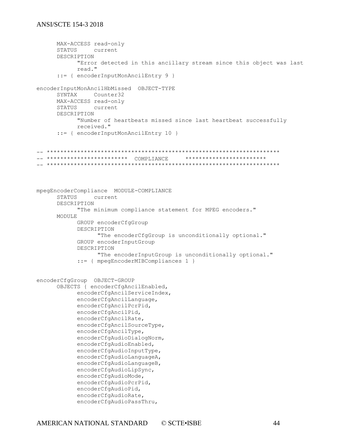```
MAX-ACCESS read-only
      STATUS current
      DESCRIPTION 
            "Error detected in this ancillary stream since this object was last
            read."
      ::= { encoderInputMonAncilEntry 9 }
encoderInputMonAncilHbMissed OBJECT-TYPE
      SYNTAX Counter32
      MAX-ACCESS read-only
      STATUS current
      DESCRIPTION 
            "Number of heartbeats missed since last heartbeat successfully
            received."
      ::= { encoderInputMonAncilEntry 10 }
-- ********************************************************************* 
-- ************************ COMPLIANCE ************************ 
-- ********************************************************************* 
mpegEncoderCompliance MODULE-COMPLIANCE
      STATUS current
      DESCRIPTION 
            "The minimum compliance statement for MPEG encoders."
      MODULE
            GROUP encoderCfgGroup
            DESCRIPTION 
                  "The encoderCfgGroup is unconditionally optional."
            GROUP encoderInputGroup
            DESCRIPTION 
                  "The encoderInputGroup is unconditionally optional."
            ::= { mpegEncoderMIBCompliances 1 }
encoderCfgGroup OBJECT-GROUP
      OBJECTS { encoderCfgAncilEnabled, 
            encoderCfgAncilServiceIndex,
            encoderCfgAncilLanguage, 
            encoderCfgAncilPcrPid, 
            encoderCfgAncilPid, 
            encoderCfgAncilRate, 
            encoderCfgAncilSourceType, 
            encoderCfgAncilType, 
            encoderCfgAudioDialogNorm, 
            encoderCfgAudioEnabled, 
            encoderCfgAudioInputType, 
            encoderCfgAudioLanguageA, 
            encoderCfgAudioLanguageB, 
            encoderCfgAudioLipSync, 
            encoderCfgAudioMode, 
            encoderCfgAudioPcrPid, 
            encoderCfgAudioPid, 
            encoderCfgAudioRate, 
            encoderCfgAudioPassThru,
```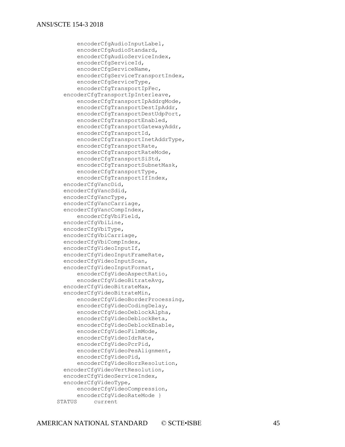encoderCfgAudioInputLabel, encoderCfgAudioStandard, encoderCfgAudioServiceIndex, encoderCfgServiceId, encoderCfgServiceName, encoderCfgServiceTransportIndex, encoderCfgServiceType, encoderCfgTransportIpFec, encoderCfgTransportIpInterleave, encoderCfgTransportIpAddrgMode, encoderCfgTransportDestIpAddr, encoderCfgTransportDestUdpPort, encoderCfgTransportEnabled, encoderCfgTransportGatewayAddr, encoderCfgTransportId, encoderCfgTransportInetAddrType, encoderCfgTransportRate, encoderCfgTransportRateMode, encoderCfgTransportSiStd, encoderCfgTransportSubnetMask, encoderCfgTransportType, encoderCfgTransportIfIndex, encoderCfgVancDid, encoderCfgVancSdid, encoderCfgVancType, encoderCfgVancCarriage, encoderCfgVancCompIndex, encoderCfgVbiField, encoderCfgVbiLine, encoderCfgVbiType, encoderCfgVbiCarriage, encoderCfgVbiCompIndex, encoderCfgVideoInputIf, encoderCfgVideoInputFrameRate, encoderCfgVideoInputScan, encoderCfgVideoInputFormat, encoderCfgVideoAspectRatio, encoderCfgVideoBitrateAvg, encoderCfgVideoBitrateMax, encoderCfgVideoBitrateMin, encoderCfgVideoBorderProcessing, encoderCfgVideoCodingDelay, encoderCfgVideoDeblockAlpha, encoderCfgVideoDeblockBeta, encoderCfgVideoDeblockEnable, encoderCfgVideoFilmMode, encoderCfgVideoIdrRate, encoderCfgVideoPcrPid, encoderCfgVideoPesAlignment, encoderCfgVideoPid, encoderCfgVideoHorzResolution, encoderCfgVideoVertResolution, encoderCfgVideoServiceIndex, encoderCfgVideoType, encoderCfgVideoCompression, encoderCfgVideoRateMode } STATUS current